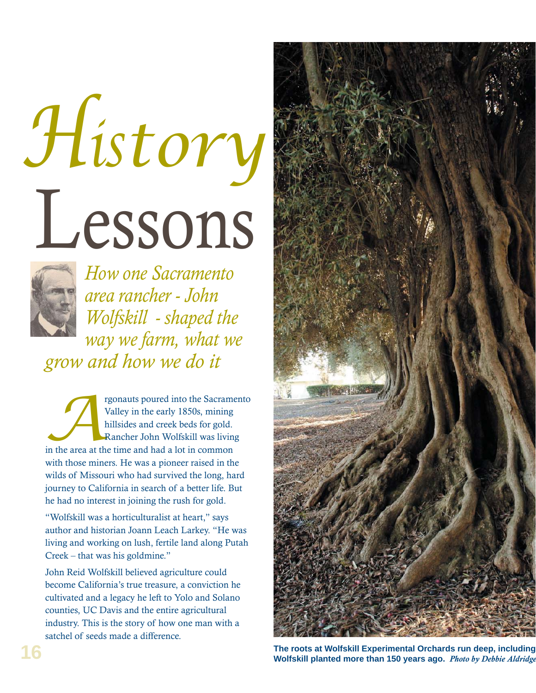# Lessons *History*



*How one Sacramento area rancher - John Wolfskill - shaped the way we farm, what we grow and how we do it*

rgonauts poured into the Sacramento<br>
Valley in the early 1850s, mining<br>
hillsides and creek beds for gold.<br>
Rancher John Wolfskill was living<br>
in the area at the time and had a lot in common Valley in the early 1850s, mining hillsides and creek beds for gold. Rancher John Wolfskill was living with those miners. He was a pioneer raised in the wilds of Missouri who had survived the long, hard journey to California in search of a better life. But he had no interest in joining the rush for gold.

"Wolfskill was a horticulturalist at heart," says author and historian Joann Leach Larkey. "He was living and working on lush, fertile land along Putah Creek – that was his goldmine."

John Reid Wolfskill believed agriculture could become California's true treasure, a conviction he cultivated and a legacy he left to Yolo and Solano counties, UC Davis and the entire agricultural industry. This is the story of how one man with a satchel of seeds made a difference.



**The roots at Wolfskill Experimental Orchards run deep, including Wolfskill planted more than 150 years ago.** *Photo by Debbie Aldridge*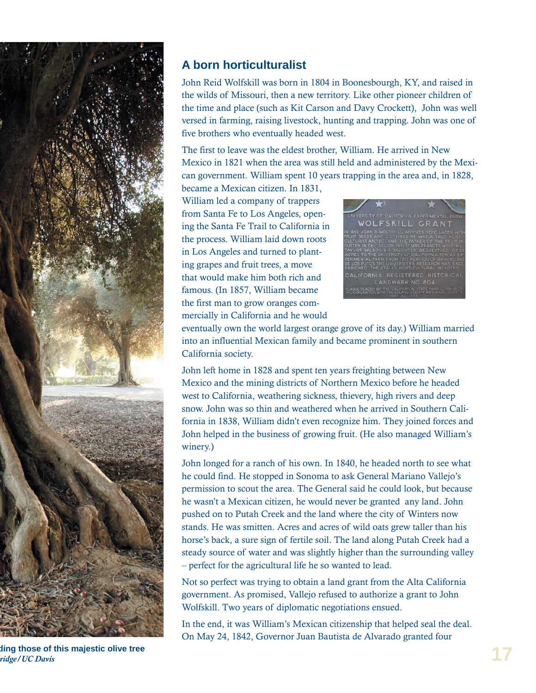

## **A born horticulturalist**

John Reid Wolfskill was born in 1804 in Boonesbourgh, KY, and raised in the wilds of Missouri, then a new territory. Like other pioneer children of the time and place (such as Kit Carson and Davy Crockett), John was well versed in farming, raising livestock, hunting and trapping. John was one of five brothers who eventually headed west.

The first to leave was the eldest brother, William. He arrived in New Mexico in 1821 when the area was still held and administered by the Mexican government. William spent 10 years trapping in the area and, in 1828,

became a Mexican citizen. In 1831, William led a company of trappers from Santa Fe to Los Angeles, opening the Santa Fe Trail to California in the process. William laid down roots in Los Angeles and turned to planting grapes and fruit trees, a move that would make him both rich and famous. (In 1857, William became the first man to grow oranges commercially in California and he would



eventually own the world largest orange grove of its day.) William married into an influential Mexican family and became prominent in southern California society.

John left home in 1828 and spent ten years freighting between New Mexico and the mining districts of Northern Mexico before he headed west to California, weathering sickness, thievery, high rivers and deep snow. John was so thin and weathered when he arrived in Southern California in 1838, William didn't even recognize him. They joined forces and John helped in the business of growing fruit. (He also managed William's winery.)

John longed for a ranch of his own. In 1840, he headed north to see what he could find. He stopped in Sonoma to ask General Mariano Vallejo's permission to scout the area. The General said he could look, but because he wasn't a Mexican citizen, he would never be granted any land. John pushed on to Putah Creek and the land where the city of Winters now stands. He was smitten. Acres and acres of wild oats grew taller than his horse's back, a sure sign of fertile soil. The land along Putah Creek had a steady source of water and was slightly higher than the surrounding valley – perfect for the agricultural life he so wanted to lead.

Not so perfect was trying to obtain a land grant from the Alta California government. As promised, Vallejo refused to authorize a grant to John Wolfskill. Two years of diplomatic negotiations ensued.

In the end, it was William's Mexican citizenship that helped seal the deal. On May 24, 1842, Governor Juan Bautista de Alvarado granted four

**ding those of this majestic olive tree**  *dridge/UC Davis*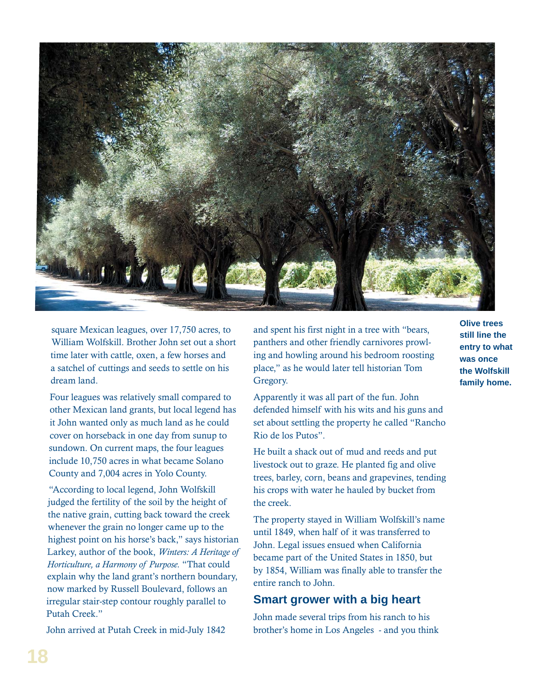

square Mexican leagues, over 17,750 acres, to William Wolfskill. Brother John set out a short time later with cattle, oxen, a few horses and a satchel of cuttings and seeds to settle on his dream land.

Four leagues was relatively small compared to other Mexican land grants, but local legend has it John wanted only as much land as he could cover on horseback in one day from sunup to sundown. On current maps, the four leagues include 10,750 acres in what became Solano County and 7,004 acres in Yolo County.

"According to local legend, John Wolfskill judged the fertility of the soil by the height of the native grain, cutting back toward the creek whenever the grain no longer came up to the highest point on his horse's back," says historian Larkey, author of the book, *Winters: A Heritage of Horticulture, a Harmony of Purpose.* "That could explain why the land grant's northern boundary, now marked by Russell Boulevard, follows an irregular stair-step contour roughly parallel to Putah Creek."

John arrived at Putah Creek in mid-July 1842

and spent his first night in a tree with "bears, panthers and other friendly carnivores prowling and howling around his bedroom roosting place," as he would later tell historian Tom Gregory.

Apparently it was all part of the fun. John defended himself with his wits and his guns and set about settling the property he called "Rancho Rio de los Putos".

He built a shack out of mud and reeds and put livestock out to graze. He planted fig and olive trees, barley, corn, beans and grapevines, tending his crops with water he hauled by bucket from the creek.

The property stayed in William Wolfskill's name until 1849, when half of it was transferred to John. Legal issues ensued when California became part of the United States in 1850, but by 1854, William was finally able to transfer the entire ranch to John.

### **Smart grower with a big heart**

John made several trips from his ranch to his brother's home in Los Angeles - and you think

**Olive trees still line the entry to what was once the Wolfskill family home.**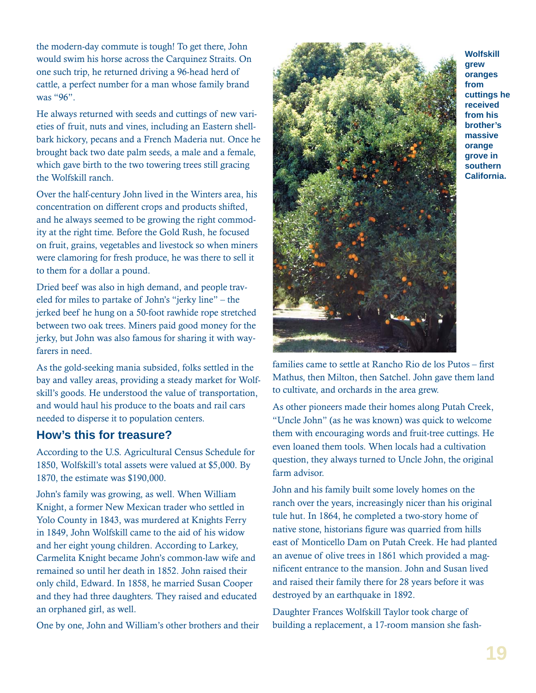the modern-day commute is tough! To get there, John would swim his horse across the Carquinez Straits. On one such trip, he returned driving a 96-head herd of cattle, a perfect number for a man whose family brand was "96".

He always returned with seeds and cuttings of new varieties of fruit, nuts and vines, including an Eastern shellbark hickory, pecans and a French Maderia nut. Once he brought back two date palm seeds, a male and a female, which gave birth to the two towering trees still gracing the Wolfskill ranch.

Over the half-century John lived in the Winters area, his concentration on different crops and products shifted, and he always seemed to be growing the right commodity at the right time. Before the Gold Rush, he focused on fruit, grains, vegetables and livestock so when miners were clamoring for fresh produce, he was there to sell it to them for a dollar a pound.

Dried beef was also in high demand, and people traveled for miles to partake of John's "jerky line" – the jerked beef he hung on a 50-foot rawhide rope stretched between two oak trees. Miners paid good money for the jerky, but John was also famous for sharing it with wayfarers in need.

As the gold-seeking mania subsided, folks settled in the bay and valley areas, providing a steady market for Wolfskill's goods. He understood the value of transportation, and would haul his produce to the boats and rail cars needed to disperse it to population centers.

### **How's this for treasure?**

According to the U.S. Agricultural Census Schedule for 1850, Wolfskill's total assets were valued at \$5,000. By 1870, the estimate was \$190,000.

John's family was growing, as well. When William Knight, a former New Mexican trader who settled in Yolo County in 1843, was murdered at Knights Ferry in 1849, John Wolfskill came to the aid of his widow and her eight young children. According to Larkey, Carmelita Knight became John's common-law wife and remained so until her death in 1852. John raised their only child, Edward. In 1858, he married Susan Cooper and they had three daughters. They raised and educated an orphaned girl, as well.

One by one, John and William's other brothers and their



**Wolfskill grew oranges from cuttings he received from his brother's massive orange grove in southern California.** 

families came to settle at Rancho Rio de los Putos – first Mathus, then Milton, then Satchel. John gave them land to cultivate, and orchards in the area grew.

As other pioneers made their homes along Putah Creek, "Uncle John" (as he was known) was quick to welcome them with encouraging words and fruit-tree cuttings. He even loaned them tools. When locals had a cultivation question, they always turned to Uncle John, the original farm advisor.

John and his family built some lovely homes on the ranch over the years, increasingly nicer than his original tule hut. In 1864, he completed a two-story home of native stone, historians figure was quarried from hills east of Monticello Dam on Putah Creek. He had planted an avenue of olive trees in 1861 which provided a magnificent entrance to the mansion. John and Susan lived and raised their family there for 28 years before it was destroyed by an earthquake in 1892.

Daughter Frances Wolfskill Taylor took charge of building a replacement, a 17-room mansion she fash-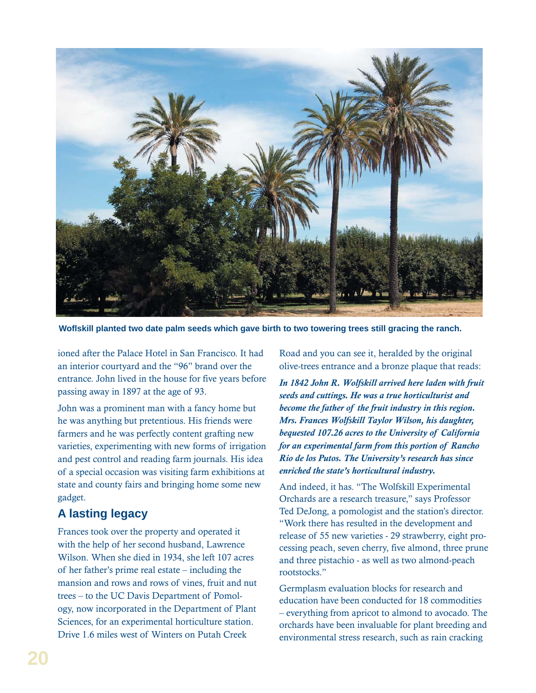

Woflskill planted two date palm seeds which gave birth to two towering trees still gracing the ranch.

ioned after the Palace Hotel in San Francisco. It had an interior courtyard and the "96" brand over the entrance. John lived in the house for five years before passing away in 1897 at the age of 93.

John was a prominent man with a fancy home but he was anything but pretentious. His friends were farmers and he was perfectly content grafting new varieties, experimenting with new forms of irrigation and pest control and reading farm journals. His idea of a special occasion was visiting farm exhibitions at state and county fairs and bringing home some new gadget.

### **A lasting legacy**

Frances took over the property and operated it with the help of her second husband, Lawrence Wilson. When she died in 1934, she left 107 acres of her father's prime real estate – including the mansion and rows and rows of vines, fruit and nut trees – to the UC Davis Department of Pomology, now incorporated in the Department of Plant Sciences, for an experimental horticulture station. Drive 1.6 miles west of Winters on Putah Creek

Road and you can see it, heralded by the original olive-trees entrance and a bronze plaque that reads:

*In 1842 John R. Wolfskill arrived here laden with fruit seeds and cuttings. He was a true horticulturist and become the father of the fruit industry in this region. Mrs. Frances Wolfskill Taylor Wilson, his daughter, bequested 107.26 acres to the University of California for an experimental farm from this portion of Rancho Rio de los Putos. The University's research has since enriched the state's horticultural industry.*

And indeed, it has. "The Wolfskill Experimental Orchards are a research treasure," says Professor Ted DeJong, a pomologist and the station's director. "Work there has resulted in the development and release of 55 new varieties - 29 strawberry, eight processing peach, seven cherry, five almond, three prune and three pistachio - as well as two almond-peach rootstocks."

Germplasm evaluation blocks for research and education have been conducted for 18 commodities – everything from apricot to almond to avocado. The orchards have been invaluable for plant breeding and environmental stress research, such as rain cracking